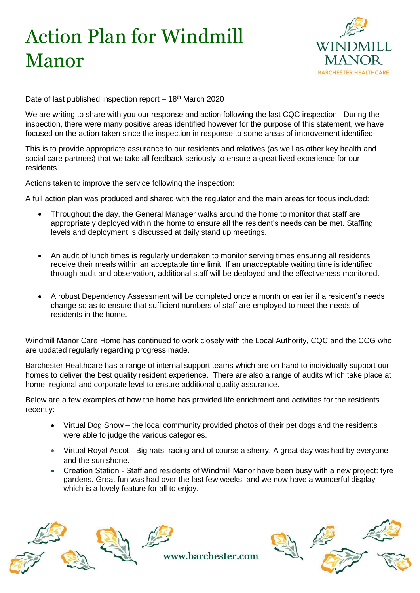## Action Plan for Windmill Manor



Date of last published inspection report  $-18<sup>th</sup>$  March 2020

We are writing to share with you our response and action following the last CQC inspection. During the inspection, there were many positive areas identified however for the purpose of this statement, we have focused on the action taken since the inspection in response to some areas of improvement identified.

This is to provide appropriate assurance to our residents and relatives (as well as other key health and social care partners) that we take all feedback seriously to ensure a great lived experience for our residents.

Actions taken to improve the service following the inspection:

A full action plan was produced and shared with the regulator and the main areas for focus included:

- Throughout the day, the General Manager walks around the home to monitor that staff are appropriately deployed within the home to ensure all the resident's needs can be met. Staffing levels and deployment is discussed at daily stand up meetings.
- An audit of lunch times is regularly undertaken to monitor serving times ensuring all residents receive their meals within an acceptable time limit. If an unacceptable waiting time is identified through audit and observation, additional staff will be deployed and the effectiveness monitored.
- A robust Dependency Assessment will be completed once a month or earlier if a resident's needs change so as to ensure that sufficient numbers of staff are employed to meet the needs of residents in the home.

Windmill Manor Care Home has continued to work closely with the Local Authority, CQC and the CCG who are updated regularly regarding progress made.

Barchester Healthcare has a range of internal support teams which are on hand to individually support our homes to deliver the best quality resident experience. There are also a range of audits which take place at home, regional and corporate level to ensure additional quality assurance.

Below are a few examples of how the home has provided life enrichment and activities for the residents recently:

- Virtual Dog Show the local community provided photos of their pet dogs and the residents were able to judge the various categories.
- Virtual Royal Ascot Big hats, racing and of course a sherry. A great day was had by everyone and the sun shone.
- Creation Station Staff and residents of Windmill Manor have been busy with a new project: tyre gardens. Great fun was had over the last few weeks, and we now have a wonderful display which is a lovely feature for all to enjoy.